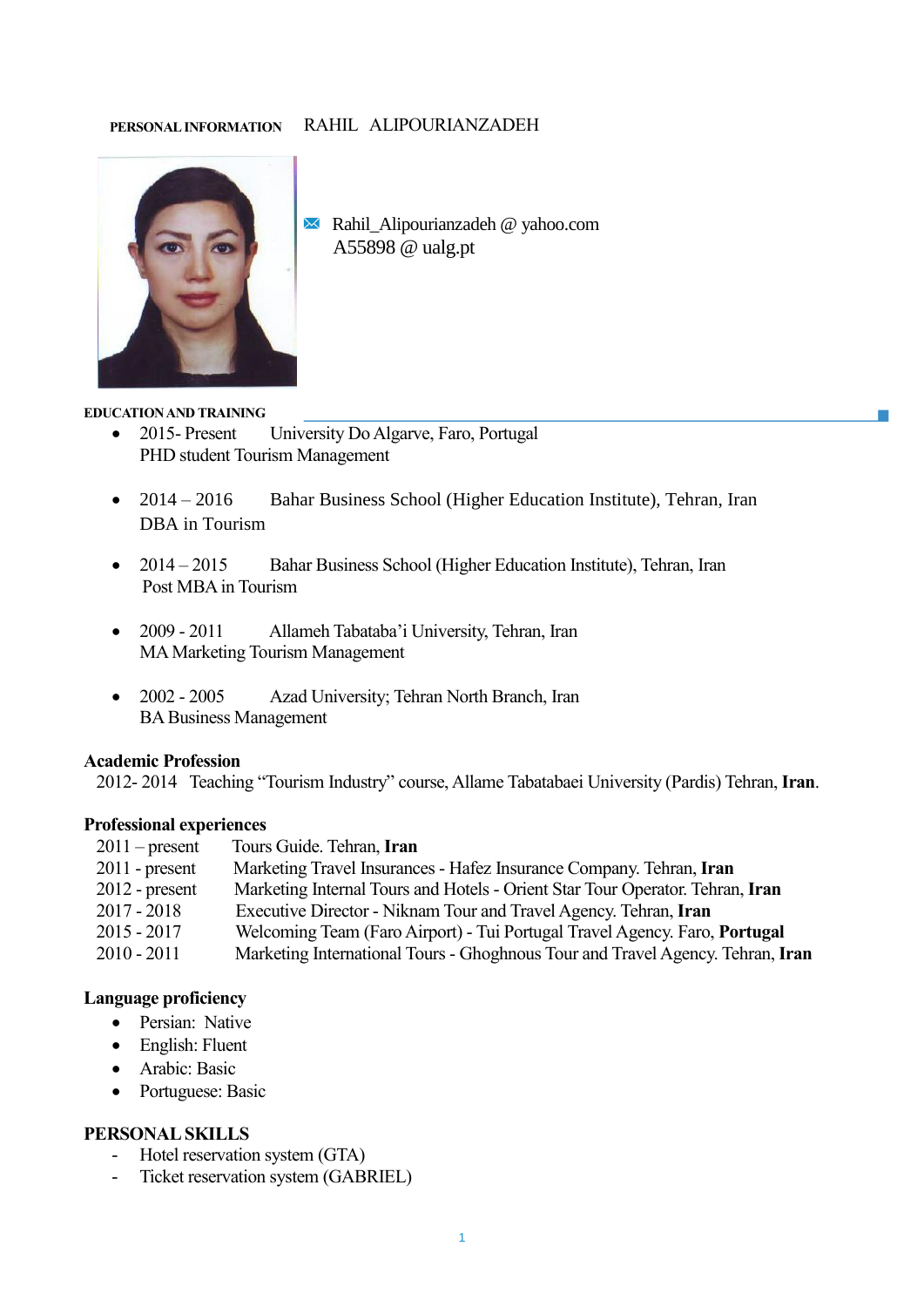### **PERSONAL INFORMATION** RAHIL ALIPOURIANZADEH



Rahil\_Alipourianzadeh @ yahoo.com A55898 @ ualg.pt

#### **EDUCATION AND TRAINING**

- 2015- Present University Do Algarve, Faro, Portugal PHD student Tourism Management
- 2014 2016 Bahar Business School (Higher Education Institute), Tehran, Iran DBA in Tourism
- 2014 2015 Bahar Business School (Higher Education Institute), Tehran, Iran Post MBA in Tourism
- 2009 2011 Allameh Tabataba'i University, Tehran, Iran MA Marketing Tourism Management
- 2002 2005 Azad University; Tehran North Branch, Iran BA Business Management

### **Academic Profession**

2012- 2014 Teaching "Tourism Industry" course, Allame Tabatabaei University (Pardis) Tehran, **Iran**.

### **Professional experiences**

| $2011$ – present | Tours Guide. Tehran, Iran                                                      |
|------------------|--------------------------------------------------------------------------------|
| $2011$ - present | Marketing Travel Insurances - Hafez Insurance Company. Tehran, Iran            |
| $2012$ - present | Marketing Internal Tours and Hotels - Orient Star Tour Operator. Tehran, Iran  |
| $2017 - 2018$    | Executive Director - Niknam Tour and Travel Agency. Tehran, Iran               |
| $2015 - 2017$    | Welcoming Team (Faro Airport) - Tui Portugal Travel Agency. Faro, Portugal     |
| $2010 - 2011$    | Marketing International Tours - Ghoghnous Tour and Travel Agency. Tehran, Iran |

#### **Language proficiency**

- Persian: Native
- English: Fluent
- Arabic: Basic
- Portuguese: Basic

# **PERSONAL SKILLS**

- Hotel reservation system (GTA)
- Ticket reservation system (GABRIEL)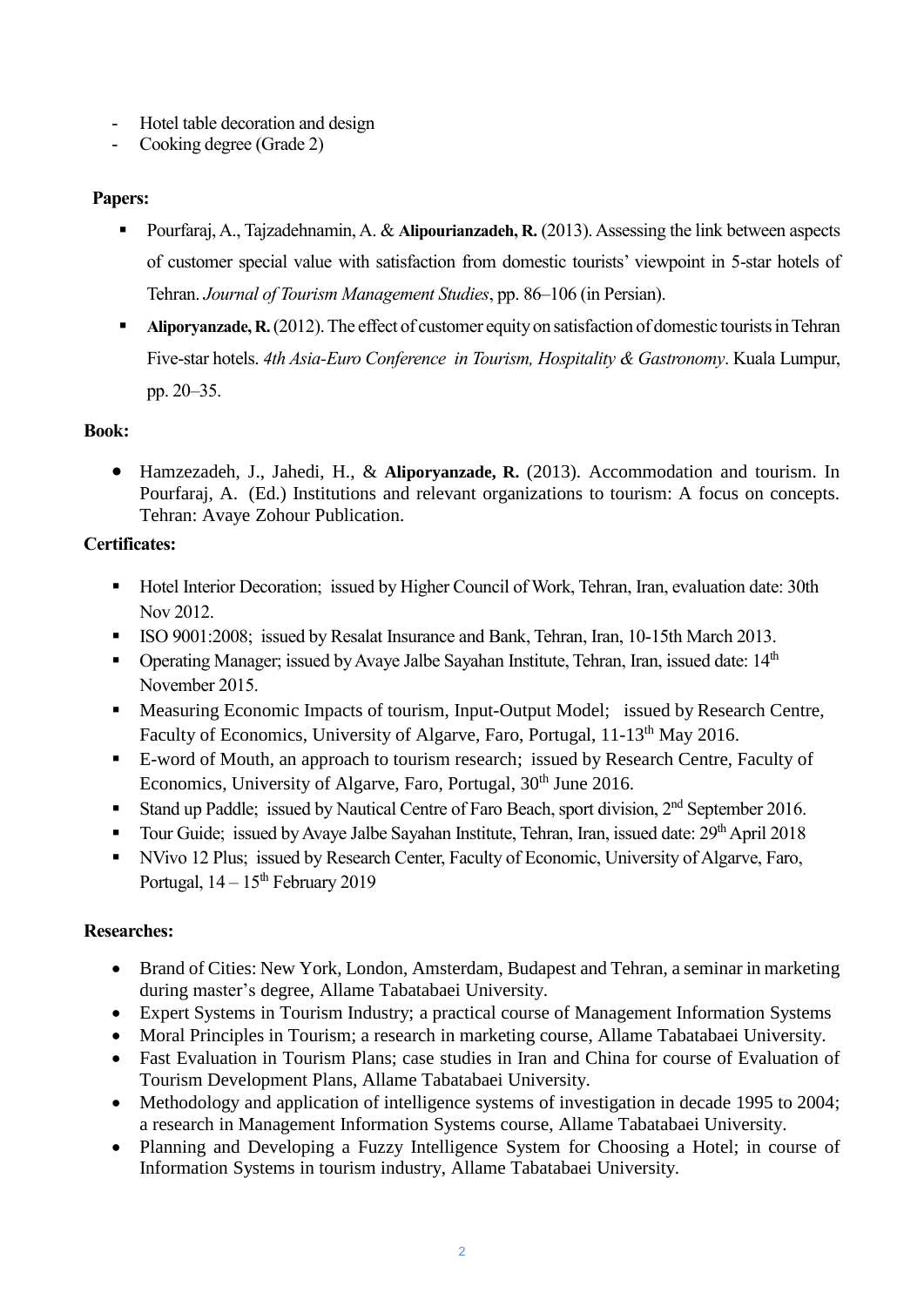- Hotel table decoration and design
- Cooking degree (Grade 2)

# **Papers:**

- Pourfaraj, A., Tajzadehnamin, A. & **Alipourianzadeh, R.** (2013). Assessing the link between aspects of customer special value with satisfaction from domestic tourists' viewpoint in 5-star hotels of Tehran. *Journal of Tourism Management Studies*, pp. 86–106 (in Persian).
- **EXECUTE:** Aliporyanzade, R. (2012). The effect of customer equity on satisfaction of domestic tourists in Tehran Five-star hotels. *4th Asia-Euro Conference in Tourism, Hospitality & Gastronomy*. Kuala Lumpur, pp. 20–35.

# **Book:**

• Hamzezadeh, J., Jahedi, H., & **Aliporyanzade, R.** (2013). Accommodation and tourism. In Pourfaraj, A. (Ed.) Institutions and relevant organizations to tourism: A focus on concepts. Tehran: Avaye Zohour Publication.

# **Certificates:**

- Hotel Interior Decoration; issued by Higher Council of Work, Tehran, Iran, evaluation date: 30th Nov 2012.
- **EXECUTE:** ISO 9001:2008; issued by Resalat Insurance and Bank, Tehran, Iran, 10-15th March 2013.
- **•** Operating Manager; issued by Avaye Jalbe Sayahan Institute, Tehran, Iran, issued date:  $14<sup>th</sup>$ November 2015.
- Measuring Economic Impacts of tourism, Input-Output Model; issued by Research Centre, Faculty of Economics, University of Algarve, Faro, Portugal, 11-13<sup>th</sup> May 2016.
- E-word of Mouth, an approach to tourism research; issued by Research Centre, Faculty of Economics, University of Algarve, Faro, Portugal, 30<sup>th</sup> June 2016.
- Stand up Paddle; issued by Nautical Centre of Faro Beach, sport division, 2<sup>nd</sup> September 2016.
- Tour Guide; issued by Avaye Jalbe Sayahan Institute, Tehran, Iran, issued date: 29<sup>th</sup> April 2018
- NVivo 12 Plus; issued by Research Center, Faculty of Economic, University of Algarve, Faro, Portugal,  $14 - 15$ <sup>th</sup> February 2019

# **Researches:**

- Brand of Cities: New York, London, Amsterdam, Budapest and Tehran, a seminar in marketing during master's degree, Allame Tabatabaei University.
- Expert Systems in Tourism Industry; a practical course of Management Information Systems
- Moral Principles in Tourism; a research in marketing course, Allame Tabatabaei University.
- Fast Evaluation in Tourism Plans; case studies in Iran and China for course of Evaluation of Tourism Development Plans, Allame Tabatabaei University.
- Methodology and application of intelligence systems of investigation in decade 1995 to 2004; a research in Management Information Systems course, Allame Tabatabaei University.
- Planning and Developing a Fuzzy Intelligence System for Choosing a Hotel; in course of Information Systems in tourism industry, Allame Tabatabaei University.